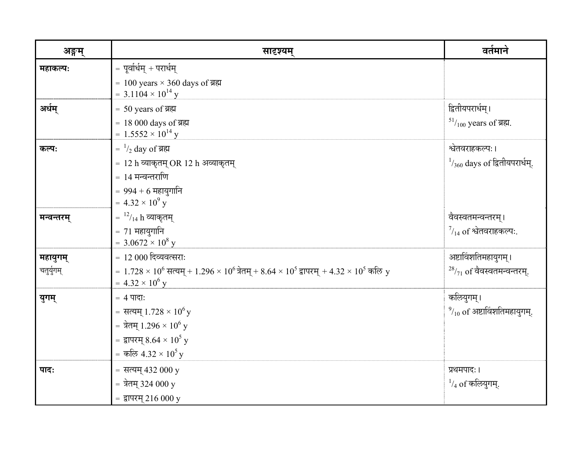| अङ्गम्     | सादृश्यम्                                                                                                                        | वर्तमाने                                 |
|------------|----------------------------------------------------------------------------------------------------------------------------------|------------------------------------------|
| महाकल्पः   | = पूर्वार्धम् + परार्धम्                                                                                                         |                                          |
|            | = 100 years $\times$ 360 days of ब्रह्म<br>= 3.1104 $\times$ 10 <sup>14</sup> y                                                  |                                          |
| अर्धम्     | $= 50$ years of ब्रह्म                                                                                                           | द्वितीयपरार्धम् ।                        |
|            | = 18 000 days of ब्रह्म<br>= $1.5552 \times 10^{14}$ y                                                                           | $^{51}/_{100}$ years of ब्रह्म.          |
| कल्पः      | = $\frac{1}{2}$ day of ब्रह्म                                                                                                    | श्वेतवराहकल्पः ।                         |
|            | = 12 h व्याकृतम् OR 12 h अव्याकृतम्                                                                                              | $\frac{1}{360}$ days of द्वितीयपरार्धम्. |
|            | = 14 मन्वन्तराणि                                                                                                                 |                                          |
|            | $= 994 + 6$ महायुगानि                                                                                                            |                                          |
|            | $= 4.32 \times 10^9$ y                                                                                                           |                                          |
| मन्वन्तरम् | = $\frac{12}{14}$ h व्याकृतम्                                                                                                    | वैवस्वतमन्वन्तरम् ।                      |
|            | $= 71$ महायुगानि<br>= $3.0672 \times 10^8$ y                                                                                     | $\frac{7}{14}$ of श्वेतवराहकल्पः.        |
| महायुगम्   | $= 12000$ दिव्यवत्सराः                                                                                                           | अष्टाविंशतिमहायुगम् ।                    |
| चतुर्युगम् | $= 1.728 \times 10^6$ सत्यम् + 1.296 $\times$ $10^6$ त्रेतम् + 8.64 $\times$ $10^5$ द्वापरम् + 4.32 $\times$ $10^5$ कलि $\rm\,y$ | $28/71$ of वैवस्वतमन्वन्तरम्.            |
|            | $= 4.32 \times 10^6$ y                                                                                                           |                                          |
| युगम्      | $= 4$ पादा:                                                                                                                      | कलियुगम् ।                               |
|            | = सत्यम् $1.728 \times 10^6$ y                                                                                                   | $^{9}/_{10}$ of अष्टाविंशतिमहायुगम्.     |
|            | = त्रेतम् 1.296 × $10^6$ y                                                                                                       |                                          |
|            | = द्वापरम् 8.64 × 10 <sup>5</sup> y                                                                                              |                                          |
|            | = कल्जि 4.32 × $10^5$ y                                                                                                          |                                          |
| पादः       | = सत्यम् 432 000 y                                                                                                               | प्रथमपादः ।                              |
|            | = त्रेतम् 324 000 y                                                                                                              | $^{-1}/_4$ of कलियुगम्.                  |
|            | = द्वापरम् 216 000 y                                                                                                             |                                          |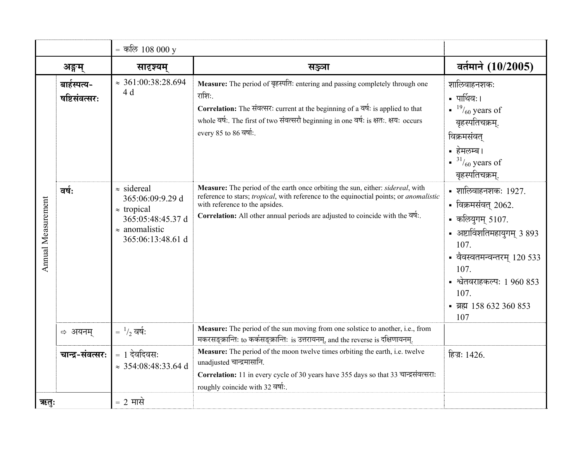|                    |                                    | = कल्जि $108000y$                                                                                                               |                                                                                                                                                                                                                                                                                             |                                                                                                                                                                                                                                      |
|--------------------|------------------------------------|---------------------------------------------------------------------------------------------------------------------------------|---------------------------------------------------------------------------------------------------------------------------------------------------------------------------------------------------------------------------------------------------------------------------------------------|--------------------------------------------------------------------------------------------------------------------------------------------------------------------------------------------------------------------------------------|
|                    | अङ्गम्                             | सादृश्यम्                                                                                                                       | सञ्ज्ञा                                                                                                                                                                                                                                                                                     | वर्तमाने (10/2005)                                                                                                                                                                                                                   |
| Annual Measurement | बाईस्पत्य-<br><u>षष्टिसंवत्सरः</u> | $\approx 361:00:38:28.694$<br>4d                                                                                                | Measure: The period of बृहस्पति: entering and passing completely through one<br>राशिः.<br>Correlation: The संवत्सर: current at the beginning of a वर्ष: is applied to that<br>whole वर्ष: The first of two संवत्सरौ beginning in one वर्ष: is क्षत: क्षय: occurs<br>every 85 to 86 वर्षा:   | शालिवाहनशकः<br>• पार्थिवः।<br>$19/60$ years of<br>बृहस्पतिचक्रम्.<br>विक्रमसंवत्<br>• हेमलम्ब।<br>$\frac{31}{60}$ years of<br>बृहस्पतिचक्रम्.                                                                                        |
|                    | वर्षः                              | $\approx$ sidereal<br>365:06:09:9.29 d<br>$\approx$ tropical<br>365:05:48:45.37 d<br>$\approx$ anomalistic<br>365:06:13:48.61 d | Measure: The period of the earth once orbiting the sun, either: sidereal, with<br>reference to stars; tropical, with reference to the equinoctial points; or anomalistic<br>with reference to the apsides.<br>Correlation: All other annual periods are adjusted to coincide with the वर्ष: | $\blacksquare$ शालिवाहनशकः 1927.<br>- विक्रमसंवत् 2062.<br>- कल्ज्युगम् 5107.<br>• अष्टाविंशतिमहायुगम् 3 893<br>107.<br>• वैवस्वतमन्वन्तरम् 120 533<br>107.<br>- श्वेतवराहकल्पः 1 960 853<br>107.<br>• ब्रह्म 158 632 360 853<br>107 |
|                    | ⇔ अयनम्                            | $=$ $\frac{1}{2}$ वर्ष:                                                                                                         | Measure: The period of the sun moving from one solstice to another, i.e., from<br>मकरसङ्क्रान्तिः to कर्कसङ्क्रान्तिः is उत्तरायनम्, and the reverse is दक्षिणायनम्.                                                                                                                        |                                                                                                                                                                                                                                      |
|                    | चान्द्र-संवत्सरः                   | $= 1$ देवदिवसः<br>$\approx 354:08:48:33.64$ d                                                                                   | Measure: The period of the moon twelve times orbiting the earth, i.e. twelve<br>unadjusted चान्द्रमासानि.<br>Correlation: 11 in every cycle of 30 years have 355 days so that 33 चान्द्रसंवत्सरा:<br>roughly coincide with 32 वर्षा:                                                        | हिज्र: 1426.                                                                                                                                                                                                                         |
| ऋतुः               |                                    | $= 2$ मासे                                                                                                                      |                                                                                                                                                                                                                                                                                             |                                                                                                                                                                                                                                      |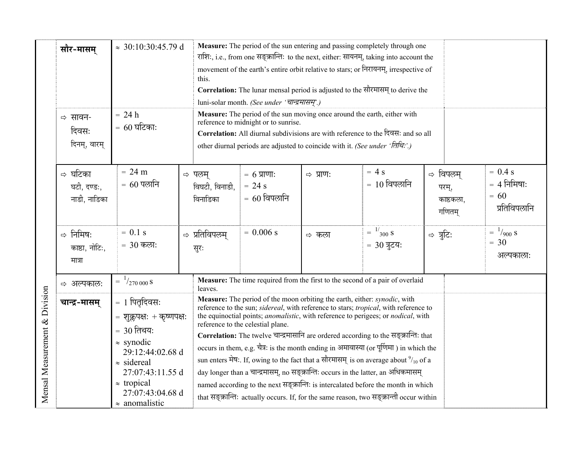|                               | सौर-मासम्                              | $\approx 30:10:30:45.79$ d<br>$= 24 h$                                                                                                                                                                                   | Measure: The period of the sun entering and passing completely through one<br>राशिः, i.e., from one सङ्क्रान्तिः to the next, either: सायनम्, taking into account the<br>movement of the earth's entire orbit relative to stars; or निरायनम्, irrespective of<br>this.<br>Correlation: The lunar mensal period is adjusted to the सौरमासम् to derive the<br>luni-solar month. (See under 'चान्द्रमासम्'.)<br>Measure: The period of the sun moving once around the earth, either with                                                                                                                                                                                                                                                                                                                                                                                   |  |  |  |  |
|-------------------------------|----------------------------------------|--------------------------------------------------------------------------------------------------------------------------------------------------------------------------------------------------------------------------|-------------------------------------------------------------------------------------------------------------------------------------------------------------------------------------------------------------------------------------------------------------------------------------------------------------------------------------------------------------------------------------------------------------------------------------------------------------------------------------------------------------------------------------------------------------------------------------------------------------------------------------------------------------------------------------------------------------------------------------------------------------------------------------------------------------------------------------------------------------------------|--|--|--|--|
|                               | ⇒ सावन-<br>दिवसः<br>दिनम्, वारम्       | $= 60$ घटिकाः                                                                                                                                                                                                            | reference to midnight or to sunrise.<br>Correlation: All diurnal subdivisions are with reference to the दिवस: and so all<br>other diurnal periods are adjusted to coincide with it. (See under 'larght'.)                                                                                                                                                                                                                                                                                                                                                                                                                                                                                                                                                                                                                                                               |  |  |  |  |
|                               | ⇨ घटिका<br>घटी, दण्डः,<br>नाडी, नाडिका | $= 24 m$<br>$= 60$ पलानि                                                                                                                                                                                                 | $= 0.4$ s<br>$= 4s$<br>⇔ विपलम<br>$= 6 \,\mathrm{mm}$ :<br>$\Rightarrow$ प्राण:<br>⇔ पलम<br>$= 10$ विपलानि<br>$= 4$ निमिषाः<br>$= 24 s$<br>विघटी, विनाडी,<br>परम्,<br>$= 60$<br>$= 60$ विपलानि<br>विनाडिका<br>काष्ठकला,<br>प्रतिविपलानि<br>गणितम                                                                                                                                                                                                                                                                                                                                                                                                                                                                                                                                                                                                                        |  |  |  |  |
|                               | ⇒ निमिषः<br>काष्ठा, नोटि:,<br>मात्रा   | $= 0.1$ s<br>$= 30$ कला:                                                                                                                                                                                                 | $=$ $^{1/}_{300}$ S<br>$=$ $\frac{1}{900}$ S<br>$= 0.006$ s<br>⇔ प्रतिविपलम्<br>⇒ त्रुटि:<br>⇨ कला<br>$= 30$<br>$= 30$ त्रुटय:<br>सुरः<br>अल्पकालाः                                                                                                                                                                                                                                                                                                                                                                                                                                                                                                                                                                                                                                                                                                                     |  |  |  |  |
|                               | ⇔ अल्पकाल:                             | $=$ $\frac{1}{270000}$ S                                                                                                                                                                                                 | Measure: The time required from the first to the second of a pair of overlaid<br>leaves.                                                                                                                                                                                                                                                                                                                                                                                                                                                                                                                                                                                                                                                                                                                                                                                |  |  |  |  |
| Mensal Measurement & Division | चान्द्र-मासम्                          | = 1 पितृदिवसः<br>$= 2.5$ = शुक्लपक्ष: + कृष्णपक्ष:<br>$= 30$ तिथय:<br>$\approx$ synodic<br>29:12:44:02.68 d<br>$\approx$ sidereal<br>27:07:43:11.55 d<br>$\approx$ tropical<br>27:07:43:04.68 d<br>$\approx$ anomalistic | Measure: The period of the moon orbiting the earth, either: synodic, with<br>reference to the sun; sidereal, with reference to stars; tropical, with reference to<br>the equinoctial points; <i>anomalistic</i> , with reference to perigees; or <i>nodical</i> , with<br>reference to the celestial plane.<br>Correlation: The twelve चान्द्रमासानि are ordered according to the सङ्क्रान्ति: that<br>occurs in them, e.g. चैत्र: is the month ending in अमावास्या (or पूर्णिमा) in which the<br>sun enters मेष: If, owing to the fact that a सौरमासम् is on average about $\frac{9}{10}$ of a<br>day longer than a चान्द्रमासम्, no सङ्क्रान्ति: occurs in the latter, an अधिकमासम्<br>named according to the next सङ्क्रान्ति: is intercalated before the month in which<br>that सङ्क्रान्तिः actually occurs. If, for the same reason, two सङ्क्रान्ती occur within |  |  |  |  |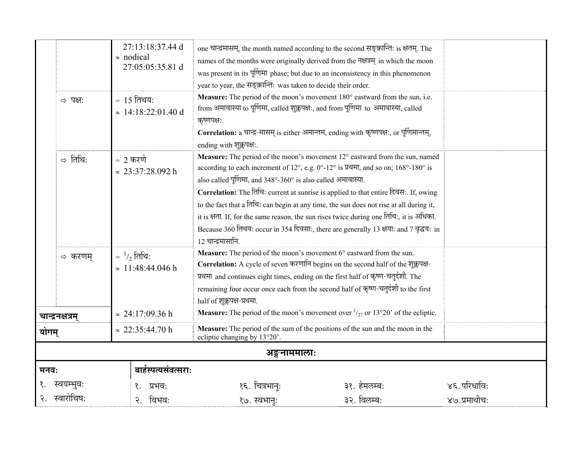|                                                                                                            |  | 27:13:18:37.44 d<br>$\approx$ nodical<br>27:05:05:35.81 d | one चान्द्रमासम्, the month named according to the second सङ्क्रान्तिः is क्षतम्. The<br>names of the months were originally derived from the नक्षत्रम् in which the moon<br>was present in its पूर्णिमा phase; but due to an inconsistency in this phenomenon<br>year to year, the सङ्क्रान्ति: was taken to decide their order.                                                                                                                                                                                                                                                                                               |              |              |
|------------------------------------------------------------------------------------------------------------|--|-----------------------------------------------------------|---------------------------------------------------------------------------------------------------------------------------------------------------------------------------------------------------------------------------------------------------------------------------------------------------------------------------------------------------------------------------------------------------------------------------------------------------------------------------------------------------------------------------------------------------------------------------------------------------------------------------------|--------------|--------------|
| $= 15$ तिथय:<br>⇒ पक्ष:<br>$\approx 14:18:22:01.40$ d<br>⇒ तिथिः<br>$= 2$ करणे<br>$\approx 23:37:28.092$ h |  |                                                           | Measure: The period of the moon's movement 180° eastward from the sun, i.e.<br>from अमावास्या to पूर्णिमा, called शुक्लपक्षः, and from पूर्णिमा to अमावास्या, called<br>कृष्णपक्ष:<br>Correlation: a चान्द्र-मासम् is either अमान्तम, ending with कृष्णपक्ष:, or पूर्णिमान्तम्,<br>ending with शुक्लपक्ष:                                                                                                                                                                                                                                                                                                                       |              |              |
|                                                                                                            |  |                                                           | Measure: The period of the moon's movement 12° eastward from the sun, named<br>according to each increment of 12°, e.g. 0°-12° is प्रथमा, and so on; 168°-180° is<br>also called पूर्णिमा, and 348°-360° is also called अमावास्या.<br>Correlation: The तिथि: current at sunrise is applied to that entire दिवसः. If, owing<br>to the fact that a तिथि: can begin at any time, the sun does not rise at all during it,<br>it is क्षता. If, for the same reason, the sun rises twice during one तिथिः, it is अधिका.<br>Because 360 तिथयः occur in 354 दिवसाः, there are generally 13 क्षयाः and 7 वृद्धयः in<br>12 चान्द्रमासानि. |              |              |
| $=$ $\frac{1}{2}$ तिथि:<br>⇔ करणम्<br>$\approx 11:48:44.046$ h                                             |  |                                                           | Measure: The period of the moon's movement 6° eastward from the sun.<br>Correlation: A cycle of seven करणानि begins on the second half of the शुक्लपक्ष-<br>प्रथमा and continues eight times, ending on the first half of कृष्ण-चतुर्दशी. The<br>remaining four occur once each from the second half of कृष्ण-चतुर्दशी to the first<br>half of शुक्लपक्ष-प्रथमा.                                                                                                                                                                                                                                                                |              |              |
| $\approx 24:17:09.36 \text{ h}$<br>चान्द्रनक्षत्रम्                                                        |  |                                                           | <b>Measure:</b> The period of the moon's movement over $\frac{1}{27}$ or 13°20' of the ecliptic.                                                                                                                                                                                                                                                                                                                                                                                                                                                                                                                                |              |              |
| $\approx 22:35:44.70 \text{ h}$<br>योगम्                                                                   |  |                                                           | Measure: The period of the sum of the positions of the sun and the moon in the<br>ecliptic changing by 13°20'.                                                                                                                                                                                                                                                                                                                                                                                                                                                                                                                  |              |              |
| अङ्गुनाममालाः                                                                                              |  |                                                           |                                                                                                                                                                                                                                                                                                                                                                                                                                                                                                                                                                                                                                 |              |              |
| मनवः                                                                                                       |  | बार्हस्पत्यसंवत्सराः                                      |                                                                                                                                                                                                                                                                                                                                                                                                                                                                                                                                                                                                                                 |              |              |
|                                                                                                            |  | प्रभवः                                                    | १६. चित्रभानुः                                                                                                                                                                                                                                                                                                                                                                                                                                                                                                                                                                                                                  | ३१. हेमलम्बः | ४६. परिधाविः |
| स्वारोचिष                                                                                                  |  | विभवः                                                     | १७. स्वभान्ः                                                                                                                                                                                                                                                                                                                                                                                                                                                                                                                                                                                                                    | ३२. विलम्बः  | ४७.प्रमाथीचः |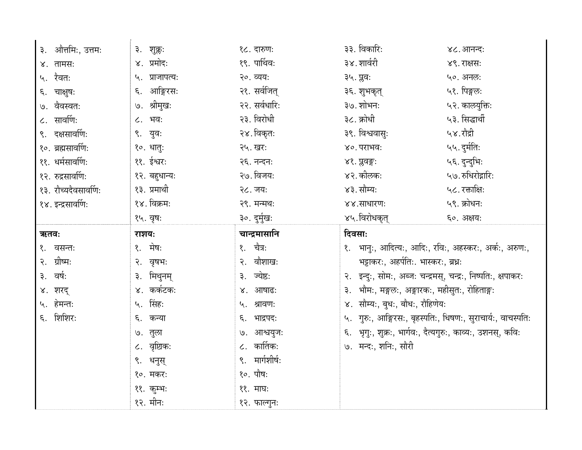| ३. औत्तमिः, उत्तमः   | ३. शुक्लः      | १८. दारुणः     | ३३. विकारिः                                                   | ४८. आनन्दः        |
|----------------------|----------------|----------------|---------------------------------------------------------------|-------------------|
| ४. तामसः             | ४. प्रमोदः     | १९. पार्थिवः   | ३४. शार्वरी                                                   | ४९. राक्षसः       |
| ५. रैवतः             | ५. प्राजापत्यः | २०. व्यय:      | ३५. प्लवः                                                     | ५०. अनल:          |
| ६. चाक्षुष:          | ६. आङ्गिरसः    | २१. सर्वजित्   | ३६. शुभकृत्                                                   | ५१. पिङ्गलः       |
| ७. वैवस्वतः          | ७. श्रीमुखः    | २२. सर्वधारिः  | ३७. शोभनः                                                     | ५२. कालयुक्तिः    |
| ८. सावर्णिः          | ८. भवः         | २३. विरोधी     | ३८. क्रोधी                                                    | ५३. सिद्धार्थी    |
| ९. दक्षसावर्णिः      | ९. युवः        | २४. विकृतः     | ३९. विश्ववासुः                                                | ५४.रौद्री         |
| १०. ब्रह्मसार्वाण:   | १०. धातुः      | २५. खरः        | ४०. पराभवः                                                    | ५५. दुर्मतिः      |
| ११. धर्मसावर्णिः     | ११. ईश्वरः     | २६. नन्दनः     | ४१. प्रुवङ्गः                                                 | ५६. दुन्दुभिः     |
| १२. रुद्रसावर्णिः    | १२. बहुधान्य:  | २७. विजयः      | ४२. कीलकः                                                     | ५७. रुधिरोद्गारिः |
| १३. रौच्यदैवसावर्णिः | १३. प्रमाथी    | २८. जयः        | ४३. सौम्यः                                                    | ५८. रक्ताक्षिः    |
| १४. इन्द्रसावर्णिः   | १४. विक्रमः    | २९. मन्मथः     | ४४.साधारणः                                                    | ५९. क्रोधनः       |
|                      | १५. वृषः       | ३०. दुर्मुखः   | ४५.विरोधकृत्                                                  | ६०. अक्षय:        |
|                      |                |                |                                                               |                   |
| ऋतवः                 | राशयः          | चान्द्रमासानि  | दिवसाः                                                        |                   |
| १. वसन्तः            | १. मेषः        | १. चैत्रः      | १. भानुः, आदित्यः, आदिः, रविः, अहस्करः, अर्कः, अरुणः,         |                   |
| २. ग्रीष्मः          | २. वृषभः       | २. वौशाखः      | भट्टाकरः, अहर्पतिः. भास्करः, ब्रधः                            |                   |
| ३. वर्षः             | ३. मिथुनम्     | ३. ज्येष्ठः    | २. इन्दुः, सोमः, अब्जः चन्द्रमस्, चन्द्रः, निष्पतिः, क्षपाकरः |                   |
| ४. शरद्              | ४. कर्कटकः     | ४. आषाढ:       | भौमः, मङ्गलः, अङ्गारकः, महीसुतः, रोहिताङ्गः<br>३.             |                   |
| ५. हेमन्तः           | ५. सिंहः       | ५. श्रावणः     | ४. सौम्यः, बुधः, बौधः, रौहिणेयः                               |                   |
| ६. शिशिरः            | ६. कन्या       | ६. भाद्रपदः    | ५. गुरुः, आङ्गिरसः, बृहस्पतिः, धिषणः, सुराचार्यः, वाचस्पतिः   |                   |
|                      | ७. तुला        | ७. आश्वयुजः    | ६. भृगुः, शुक्रः, भार्गवः, दैत्यगुरुः, काव्यः, उशनस्, कविः    |                   |
|                      | ८. वृष्टिकः    | $c.$ कार्तिक:  | ७. मन्दः, शनिः, सौरी                                          |                   |
|                      | ९. धनुस्       | ९. मार्गशीर्षः |                                                               |                   |
|                      | १०. मकरः       | १०. पौषः       |                                                               |                   |
|                      | ११. कूम्भः     | ११. माघः       |                                                               |                   |